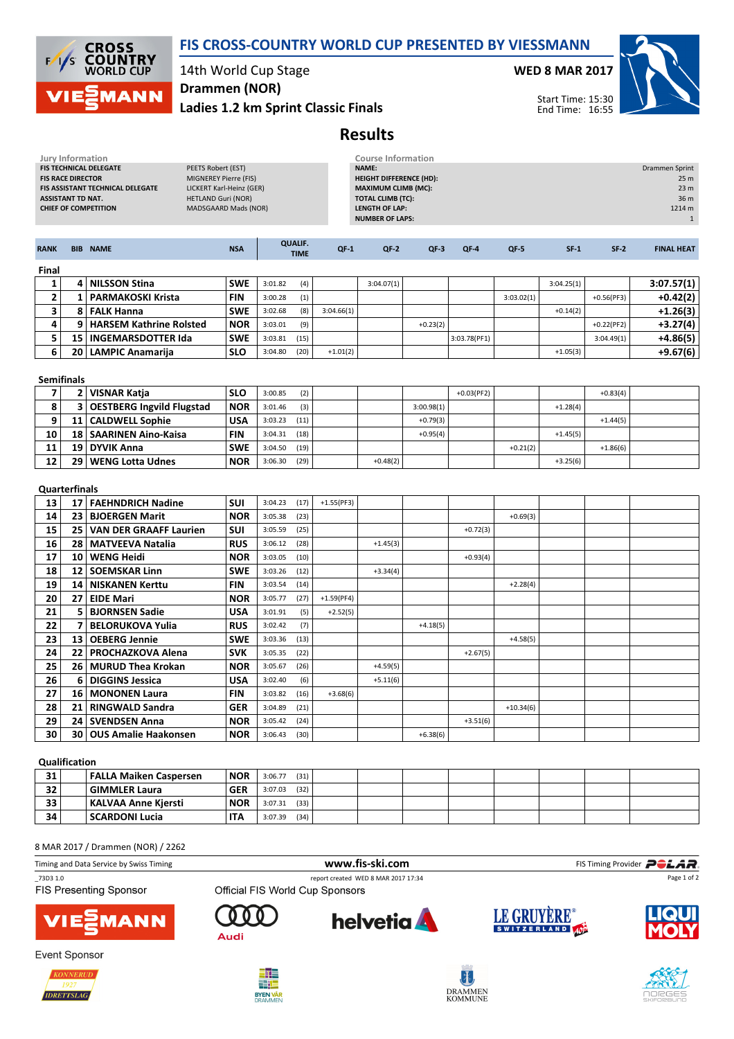

## FIS CROSS-COUNTRY WORLD CUP PRESENTED BY VIESSMANN

Ladies 1.2 km Sprint Classic Finals

WED 8 MAR 2017



Start Time: 15:30 End Time: 16:55

## Results

|                                                              | Jury Information  |                               |                                                       |         |                               |                                | <b>Course Information</b>                              |            |              |              |            |                       |                         |
|--------------------------------------------------------------|-------------------|-------------------------------|-------------------------------------------------------|---------|-------------------------------|--------------------------------|--------------------------------------------------------|------------|--------------|--------------|------------|-----------------------|-------------------------|
| PEETS Robert (EST)<br><b>FIS TECHNICAL DELEGATE</b>          |                   |                               |                                                       |         |                               | <b>NAME:</b>                   |                                                        |            |              |              |            | <b>Drammen Sprint</b> |                         |
| <b>FIS RACE DIRECTOR</b>                                     |                   | MIGNEREY Pierre (FIS)         |                                                       |         |                               | <b>HEIGHT DIFFERENCE (HD):</b> |                                                        |            |              |              |            | 25 m                  |                         |
| FIS ASSISTANT TECHNICAL DELEGATE<br><b>ASSISTANT TD NAT.</b> |                   |                               | LICKERT Karl-Heinz (GER)<br><b>HETLAND Guri (NOR)</b> |         |                               |                                | <b>MAXIMUM CLIMB (MC):</b><br><b>TOTAL CLIMB (TC):</b> |            |              |              |            |                       | 23 <sub>m</sub><br>36 m |
| <b>CHIEF OF COMPETITION</b>                                  |                   |                               | MADSGAARD Mads (NOR)                                  |         |                               |                                | <b>LENGTH OF LAP:</b>                                  |            |              |              |            |                       | 1214 m                  |
| <b>NUMBER OF LAPS:</b>                                       |                   |                               |                                                       |         |                               |                                |                                                        |            |              | $\mathbf{1}$ |            |                       |                         |
|                                                              |                   |                               |                                                       |         |                               |                                |                                                        |            |              |              |            |                       |                         |
| <b>RANK</b>                                                  |                   | <b>BIB NAME</b>               | <b>NSA</b>                                            |         | <b>QUALIF.</b><br><b>TIME</b> | $QF-1$                         | $QF-2$                                                 | $QF-3$     | QF-4         | $QF-5$       | $SF-1$     | $SF-2$                | <b>FINAL HEAT</b>       |
|                                                              |                   |                               |                                                       |         |                               |                                |                                                        |            |              |              |            |                       |                         |
| Final<br>1                                                   |                   | 4   NILSSON Stina             | <b>SWE</b>                                            | 3:01.82 | (4)                           |                                | 3:04.07(1)                                             |            |              |              | 3:04.25(1) |                       | 3:07.57(1)              |
| $\mathbf{2}$                                                 |                   | 1   PARMAKOSKI Krista         | <b>FIN</b>                                            | 3:00.28 | (1)                           |                                |                                                        |            |              | 3:03.02(1)   |            | $+0.56(PF3)$          | +0.42(2)                |
| 3                                                            |                   | 8 FALK Hanna                  | <b>SWE</b>                                            | 3:02.68 | (8)                           | 3:04.66(1)                     |                                                        |            |              |              | $+0.14(2)$ |                       | $+1.26(3)$              |
| 4                                                            |                   | 9   HARSEM Kathrine Rolsted   | <b>NOR</b>                                            | 3:03.01 | (9)                           |                                |                                                        | $+0.23(2)$ |              |              |            | $+0.22(PF2)$          | $+3.27(4)$              |
| 5                                                            |                   | 15   INGEMARSDOTTER Ida       | <b>SWE</b>                                            | 3:03.81 | (15)                          |                                |                                                        |            | 3:03.78(PF1) |              |            | 3:04.49(1)            | $+4.86(5)$              |
| 6                                                            |                   | 20   LAMPIC Anamarija         | <b>SLO</b>                                            | 3:04.80 | (20)                          | $+1.01(2)$                     |                                                        |            |              |              | $+1.05(3)$ |                       | $+9.67(6)$              |
|                                                              |                   |                               |                                                       |         |                               |                                |                                                        |            |              |              |            |                       |                         |
|                                                              | <b>Semifinals</b> |                               |                                                       |         |                               |                                |                                                        |            |              |              |            |                       |                         |
| $\overline{\mathbf{z}}$                                      |                   | 2 VISNAR Katja                | <b>SLO</b>                                            | 3:00.85 | (2)                           |                                |                                                        |            | $+0.03(PF2)$ |              |            | $+0.83(4)$            |                         |
| 8                                                            |                   | 3 OESTBERG Ingvild Flugstad   | <b>NOR</b>                                            | 3:01.46 | (3)                           |                                |                                                        | 3:00.98(1) |              |              | $+1.28(4)$ |                       |                         |
| 9                                                            |                   | 11   CALDWELL Sophie          | <b>USA</b>                                            | 3:03.23 | (11)                          |                                |                                                        | $+0.79(3)$ |              |              |            | $+1.44(5)$            |                         |
| 10                                                           |                   | 18   SAARINEN Aino-Kaisa      | <b>FIN</b>                                            | 3:04.31 | (18)                          |                                |                                                        | $+0.95(4)$ |              |              | $+1.45(5)$ |                       |                         |
| 11                                                           |                   | 19 DYVIK Anna                 | <b>SWE</b>                                            | 3:04.50 | (19)                          |                                |                                                        |            |              | $+0.21(2)$   |            | $+1.86(6)$            |                         |
| 12                                                           |                   | 29   WENG Lotta Udnes         | <b>NOR</b>                                            | 3:06.30 | (29)                          |                                | $+0.48(2)$                                             |            |              |              | $+3.25(6)$ |                       |                         |
|                                                              |                   |                               |                                                       |         |                               |                                |                                                        |            |              |              |            |                       |                         |
| <b>Quarterfinals</b>                                         |                   |                               |                                                       |         |                               |                                |                                                        |            |              |              |            |                       |                         |
| 13                                                           |                   | 17   FAEHNDRICH Nadine        | <b>SUI</b>                                            | 3:04.23 | (17)                          | $+1.55(PF3)$                   |                                                        |            |              |              |            |                       |                         |
| 14                                                           |                   | 23   BJOERGEN Marit           | <b>NOR</b>                                            | 3:05.38 | (23)                          |                                |                                                        |            |              | $+0.69(3)$   |            |                       |                         |
| 15                                                           |                   | 25   VAN DER GRAAFF Laurien   | <b>SUI</b>                                            | 3:05.59 | (25)                          |                                |                                                        |            | $+0.72(3)$   |              |            |                       |                         |
| 16                                                           |                   | 28   MATVEEVA Natalia         | <b>RUS</b>                                            | 3:06.12 | (28)                          |                                | $+1.45(3)$                                             |            |              |              |            |                       |                         |
| 17                                                           |                   | 10   WENG Heidi               | <b>NOR</b>                                            | 3:03.05 | (10)                          |                                |                                                        |            | $+0.93(4)$   |              |            |                       |                         |
| 18                                                           |                   | 12   SOEMSKAR Linn            | <b>SWE</b>                                            | 3:03.26 | (12)                          |                                | $+3.34(4)$                                             |            |              |              |            |                       |                         |
| 19                                                           |                   | 14   NISKANEN Kerttu          | <b>FIN</b>                                            | 3:03.54 | (14)                          |                                |                                                        |            |              | $+2.28(4)$   |            |                       |                         |
| 20                                                           |                   | 27 EIDE Mari                  | <b>NOR</b>                                            | 3:05.77 | (27)                          | $+1.59(PF4)$                   |                                                        |            |              |              |            |                       |                         |
| 21                                                           |                   | 5   BJORNSEN Sadie            | <b>USA</b>                                            | 3:01.91 | (5)                           | $+2.52(5)$                     |                                                        |            |              |              |            |                       |                         |
| 22                                                           | $\overline{7}$    | BELORUKOVA Yulia              | <b>RUS</b>                                            | 3:02.42 | (7)                           |                                |                                                        | $+4.18(5)$ |              |              |            |                       |                         |
| 23                                                           | 13 <sup>1</sup>   | <b>OEBERG Jennie</b>          | <b>SWE</b>                                            | 3:03.36 | (13)                          |                                |                                                        |            |              | $+4.58(5)$   |            |                       |                         |
| 24                                                           |                   | 22   PROCHAZKOVA Alena        | <b>SVK</b>                                            | 3:05.35 | (22)                          |                                |                                                        |            | $+2.67(5)$   |              |            |                       |                         |
| 25                                                           |                   | 26   MURUD Thea Krokan        | <b>NOR</b>                                            | 3:05.67 | (26)                          |                                | $+4.59(5)$                                             |            |              |              |            |                       |                         |
| 26                                                           | 6                 | <b>DIGGINS Jessica</b>        | <b>USA</b>                                            | 3:02.40 | (6)                           |                                | $+5.11(6)$                                             |            |              |              |            |                       |                         |
| 27                                                           |                   | 16   MONONEN Laura            | <b>FIN</b>                                            | 3:03.82 | (16)                          | $+3.68(6)$                     |                                                        |            |              |              |            |                       |                         |
| 28                                                           |                   | 21   RINGWALD Sandra          | <b>GER</b>                                            | 3:04.89 | (21)                          |                                |                                                        |            |              | $+10.34(6)$  |            |                       |                         |
| 29                                                           |                   | 24 SVENDSEN Anna              | <b>NOR</b>                                            | 3:05.42 | (24)                          |                                |                                                        |            | $+3.51(6)$   |              |            |                       |                         |
| 30                                                           |                   | 30   OUS Amalie Haakonsen     | <b>NOR</b>                                            | 3:06.43 | (30)                          |                                |                                                        | $+6.38(6)$ |              |              |            |                       |                         |
|                                                              |                   |                               |                                                       |         |                               |                                |                                                        |            |              |              |            |                       |                         |
|                                                              | Qualification     |                               |                                                       |         |                               |                                |                                                        |            |              |              |            |                       |                         |
| 31                                                           |                   | <b>FALLA Maiken Caspersen</b> | <b>NOR</b>                                            | 3:06.77 | (31)                          |                                |                                                        |            |              |              |            |                       |                         |
| 32                                                           |                   | <b>GIMMLER Laura</b>          | <b>GER</b>                                            | 3:07.03 | (32)                          |                                |                                                        |            |              |              |            |                       |                         |

8 MAR 2017 / Drammen (NOR) / 2262

33 KALVAA Anne Kjersti NOR 3:07.31 (33) **34 SCARDONI Lucia ITA** 3:07.39 (34)

| Timing and Data Service by Swiss Timing |                                 | www.fis-ski.com                     | FIS Timing Provider <b>POLAR</b> |             |  |
|-----------------------------------------|---------------------------------|-------------------------------------|----------------------------------|-------------|--|
| 73D3 1.0                                |                                 | report created WED 8 MAR 2017 17:34 | Page 1 of 2                      |             |  |
| <b>FIS Presenting Sponsor</b>           | Official FIS World Cup Sponsors |                                     |                                  |             |  |
| <b>VIEZMANN</b>                         |                                 | <b>helvetia</b>                     | LE GRUYÈRE®<br>SWITZERLAND LAN   | <b>MAIV</b> |  |



Event Sponsor





**Audi**